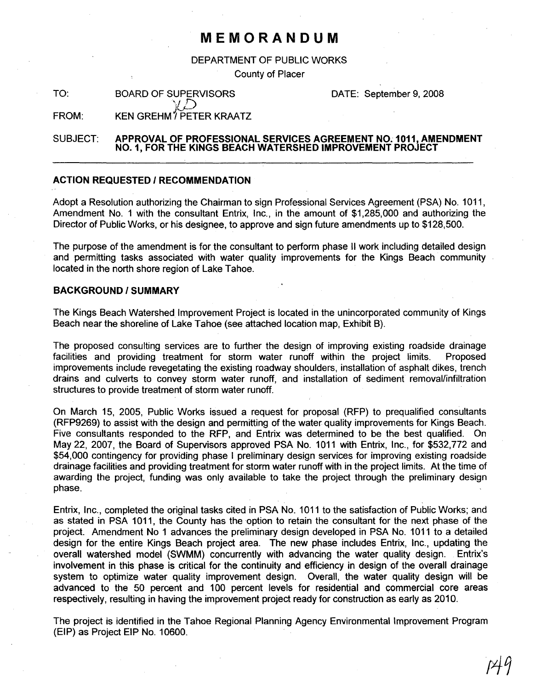## **MEMORANDUM**

DEPARTMENT OF PUBLIC WORKS

County of Placer

TO: BOARD OF SUPERVISORS  $\lang{\!\!\!L} \mathcal{D}$ 

DATE: September 9, 2008

FROM: KEN GREHM<sup>Y</sup> PETER KRAATZ

#### SUBJECT: **APPROVAL OF PROFESSIONAL SERVICES AGREEMENT** NO. 1011, **AMENDMENT NO.1, FOR THE KINGS BEACH WATERSHED IMPROVEMENT PROJECT**

### **ACTION REQUESTED / RECOMMENDATION**

Adopt a Resolution authorizing the Chairman to sign Professional Services Agreement (PSA) No. 1011, Amendment No.1 with the consultant Entrix, Inc., in the amount of \$1,285,000 and authorizing the Director of Public Works, or his designee, to approve and sign future amendments up to \$128,500.

The purpose of the amendment is for the consultant to perform phase II work including detailed design and permitting tasks associated with water quality improvements for the Kings Beach community located in the north shore region of Lake Tahoe.

#### **BACKGROUND/SUMMARY**

The Kings Beach Watershed Improvement Project is located in the unincorporated community of Kings Beach near the shoreline of Lake Tahoe (see attached location map, Exhibit B).

The proposed consulting services are to further the design of improving existing roadside drainage facilities and providing treatment for storm water runoff within the project limits. Proposed improvements include revegetating the existing roadway shoulders, installation of asphalt dikes, trench drains and culverts to convey storm water runoff, and installation of sediment removal/infiltration structures to provide treatment of storm water runoff.

On March 15, 2005, Public Works issued a request for proposal (RFP) to prequalified consultants (RFP9269) to assist with the design and permitting of the water quality improvements for Kings Beach. Five consultants responded to the RFP, and Entrix was determined to be the best qualified. On May 22, 2007, the Board of Supervisors approved PSA No. 1011 with Entrix, Inc., for \$532,772 and \$54,000 contingency for providing phase I preliminary design services for improving existing roadside drainage facilities and providing treatment for storm water runoff with in the project limits. At the time of awarding the project, funding was only available to take the project through the preliminary design phase.

Entrix, Inc., completed the original tasks cited in PSA No. 1011 to the satisfaction of Public Works; and as stated in PSA 1011, the County has the option to retain the consultant for the next phase of the project. Amendment No 1 advances the preliminary design developed in PSA No. 1011 to a detailed design for the entire Kings Beach project area. The new phase includes Entrix, Inc., updating the overall watershed model (SWMM) concurrently with advancing the water quality design. Entrix's involvement in this phase is critical for the continuity and efficiency in design of the overall drainage system to optimize water quality improvement design. Overall, the water quality design will be advanced to the 50 percent and 100 percent levels for residential and commercial core areas respectively, resulting in having the improvement project ready for construction as early as 2010.

The project is identified in the Tahoe Regional Planning Agency Environmental Improvement Program (EIP) as Project EIP No. 10600.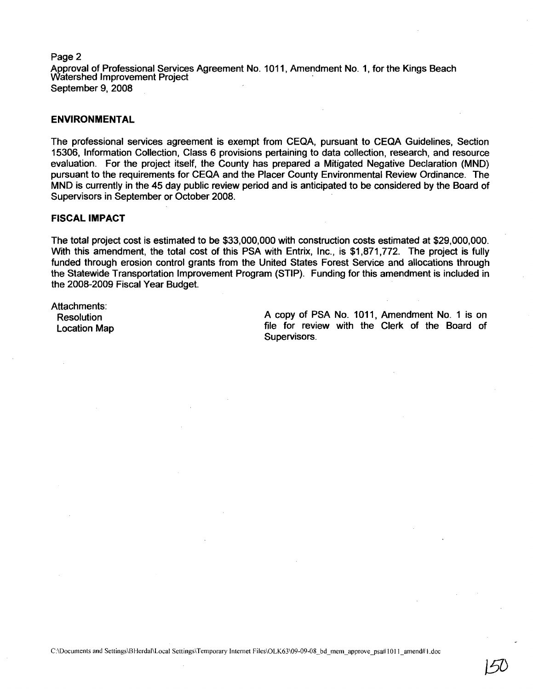Page 2 Approval of Professional Services Agreement No. 1011, Amendment No.1, for the Kings Beach Watershed Improvement Project September 9, 2008

#### **ENVIRONMENTAL**

The professional services agreement is exempt from CEQA, pursuant to CEQA Guidelines, Section 15306, Information Collection, Class 6 provisions pertaining to data collection, research, and resource evaluation. For the project itself, the County has prepared a Mitigated Negative Declaration (MND) pursuant to the requirements for CEQA and the Placer County Environmental Review Ordinance. The MND is currently in the 45 day public review period and is anticipated to be considered by the Board of Supervisors in September or October 2008.

#### **FISCAL IMPACT**

The total project cost is estimated to be \$33,000,000 with construction costs estimated at \$29,000,000. With this amendment, the total cost of this PSA with Entrix, Inc., is \$1,871,772. The project is fully funded through erosion control grants from the United States Forest Service and allocations through the Statewide Transportation Improvement Program (STIP). Funding for this amendment is included in the 2008-2009 Fiscal Year Budget.

Attachments: Resolution Location Map

A copy of PSA No. 1011, Amendment No. 1 is on file for review with the Clerk of the Board of Supervisors.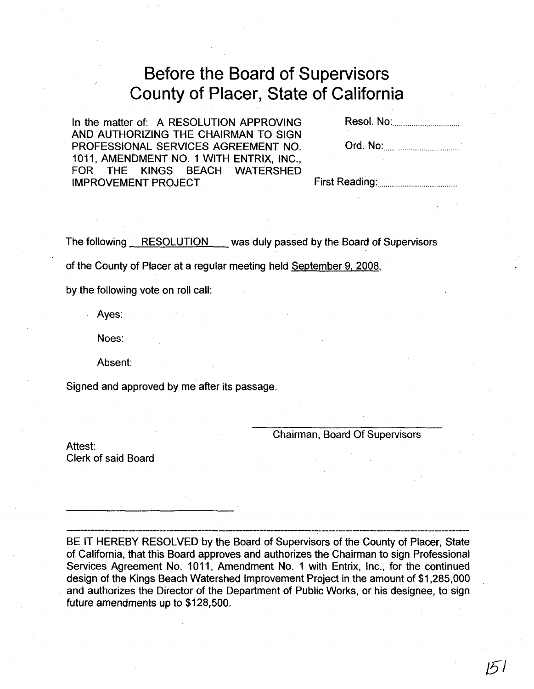# **Before the Board of Supervisors County of Placer, State of California**

In the matter of: A RESOLUTION APPROVING AND AUTHORIZING THE CHAIRMAN TO SIGN PROFESSIONAL SERVICES AGREEMENT NO. 1011, AMENDMENT NO.1 WITH ENTRIX, INC., FOR THE KINGS BEACH WATERSHED IMPROVEMENT PROJECT

Resol. No: .

Ord. No: .

First Reading: .

The following RESOLUTION was duly passed by the Board of Supervisors

of the County of Placer at a regular meeting held September 9, 2008,

by the following vote on roll call:

Ayes:

Noes:

Absent:

Signed and approved by me after its passage.

Chairman, Board Of Supervisors

Attest: Clerk of said Board

BE IT HEREBY RESOLVED by the Board of Supervisors of the County of Placer, State of California, that this Board approves and authorizes the Chairman to sign Professional Services Agreement No. 1011, Amendment No. 1 with Entrix, Inc., for the continued design of the Kings Beach Watershed Improvement Project in the amount of \$1,285,000 . and authorizes the Director of the Department of Public Works, or his designee, to sign future amendments up to \$128,500.